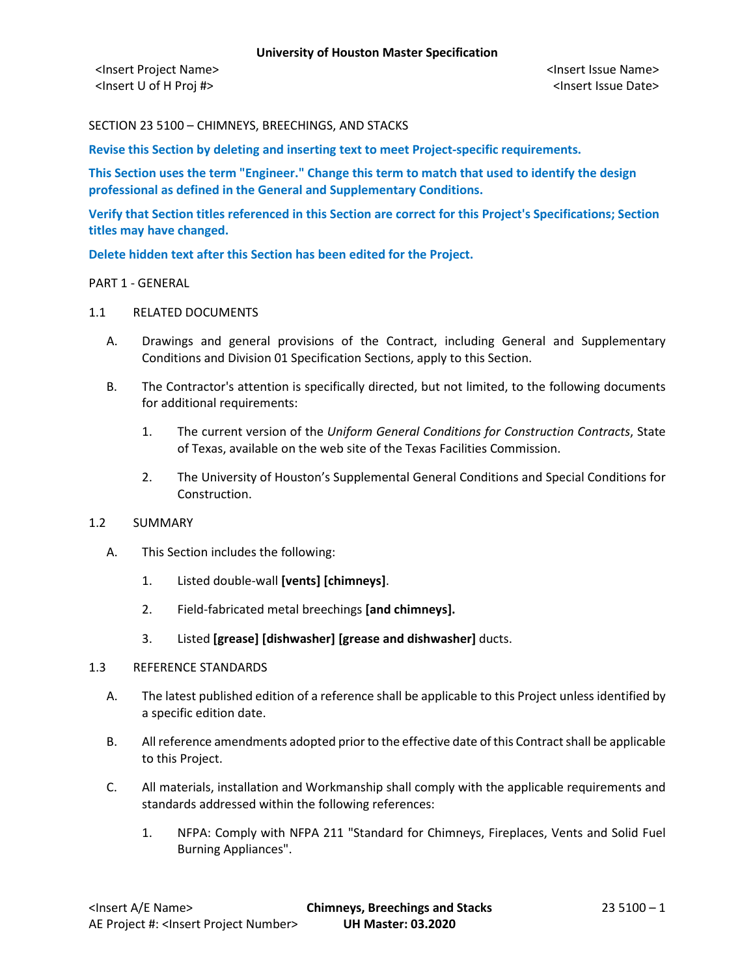<Insert Project Name> <Insert Issue Name> <Insert U of H Proj #> <Insert Issue Date>

SECTION 23 5100 – CHIMNEYS, BREECHINGS, AND STACKS

**Revise this Section by deleting and inserting text to meet Project-specific requirements.**

**This Section uses the term "Engineer." Change this term to match that used to identify the design professional as defined in the General and Supplementary Conditions.**

**Verify that Section titles referenced in this Section are correct for this Project's Specifications; Section titles may have changed.**

**Delete hidden text after this Section has been edited for the Project.**

### PART 1 - GENERAL

# 1.1 RELATED DOCUMENTS

- A. Drawings and general provisions of the Contract, including General and Supplementary Conditions and Division 01 Specification Sections, apply to this Section.
- B. The Contractor's attention is specifically directed, but not limited, to the following documents for additional requirements:
	- 1. The current version of the *Uniform General Conditions for Construction Contracts*, State of Texas, available on the web site of the Texas Facilities Commission.
	- 2. The University of Houston's Supplemental General Conditions and Special Conditions for Construction.

# 1.2 SUMMARY

- A. This Section includes the following:
	- 1. Listed double-wall **[vents] [chimneys]**.
	- 2. Field-fabricated metal breechings **[and chimneys].**
	- 3. Listed **[grease] [dishwasher] [grease and dishwasher]** ducts.

# 1.3 REFERENCE STANDARDS

- A. The latest published edition of a reference shall be applicable to this Project unless identified by a specific edition date.
- B. All reference amendments adopted prior to the effective date of this Contract shall be applicable to this Project.
- C. All materials, installation and Workmanship shall comply with the applicable requirements and standards addressed within the following references:
	- 1. NFPA: Comply with NFPA 211 "Standard for Chimneys, Fireplaces, Vents and Solid Fuel Burning Appliances".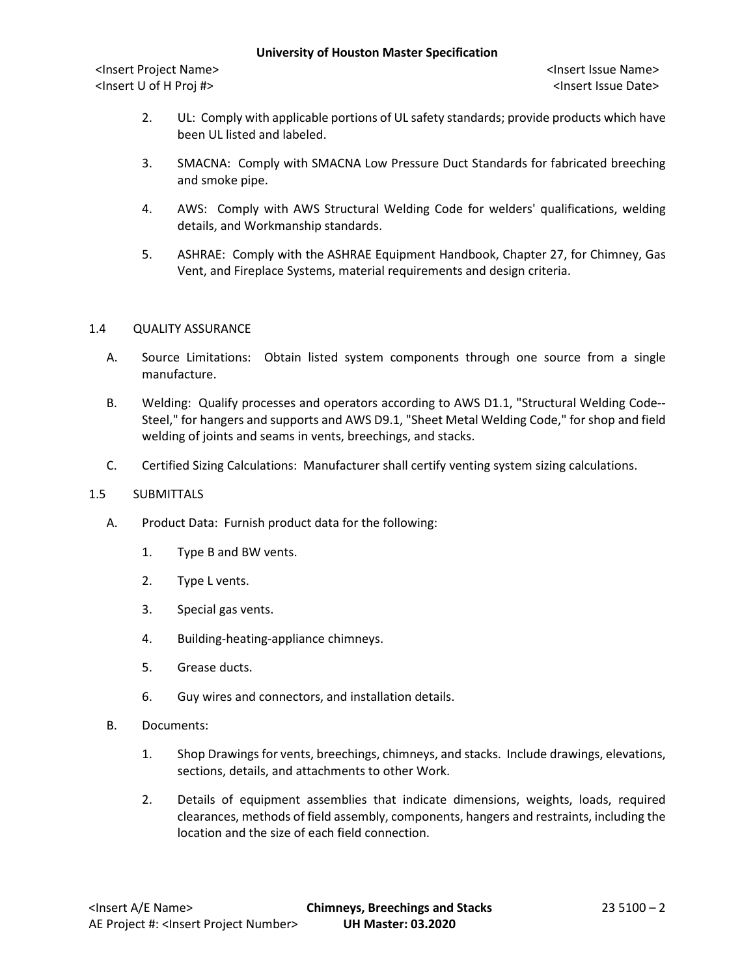<Insert Project Name> <Insert Issue Name> <Insert U of H Proj #> <Insert Issue Date>

- 2. UL: Comply with applicable portions of UL safety standards; provide products which have been UL listed and labeled.
- 3. SMACNA: Comply with SMACNA Low Pressure Duct Standards for fabricated breeching and smoke pipe.
- 4. AWS: Comply with AWS Structural Welding Code for welders' qualifications, welding details, and Workmanship standards.
- 5. ASHRAE: Comply with the ASHRAE Equipment Handbook, Chapter 27, for Chimney, Gas Vent, and Fireplace Systems, material requirements and design criteria.

# 1.4 QUALITY ASSURANCE

- A. Source Limitations: Obtain listed system components through one source from a single manufacture.
- B. Welding: Qualify processes and operators according to AWS D1.1, "Structural Welding Code-- Steel," for hangers and supports and AWS D9.1, "Sheet Metal Welding Code," for shop and field welding of joints and seams in vents, breechings, and stacks.
- C. Certified Sizing Calculations: Manufacturer shall certify venting system sizing calculations.

# 1.5 SUBMITTALS

- A. Product Data: Furnish product data for the following:
	- 1. Type B and BW vents.
	- 2. Type L vents.
	- 3. Special gas vents.
	- 4. Building-heating-appliance chimneys.
	- 5. Grease ducts.
	- 6. Guy wires and connectors, and installation details.
- B. Documents:
	- 1. Shop Drawings for vents, breechings, chimneys, and stacks. Include drawings, elevations, sections, details, and attachments to other Work.
	- 2. Details of equipment assemblies that indicate dimensions, weights, loads, required clearances, methods of field assembly, components, hangers and restraints, including the location and the size of each field connection.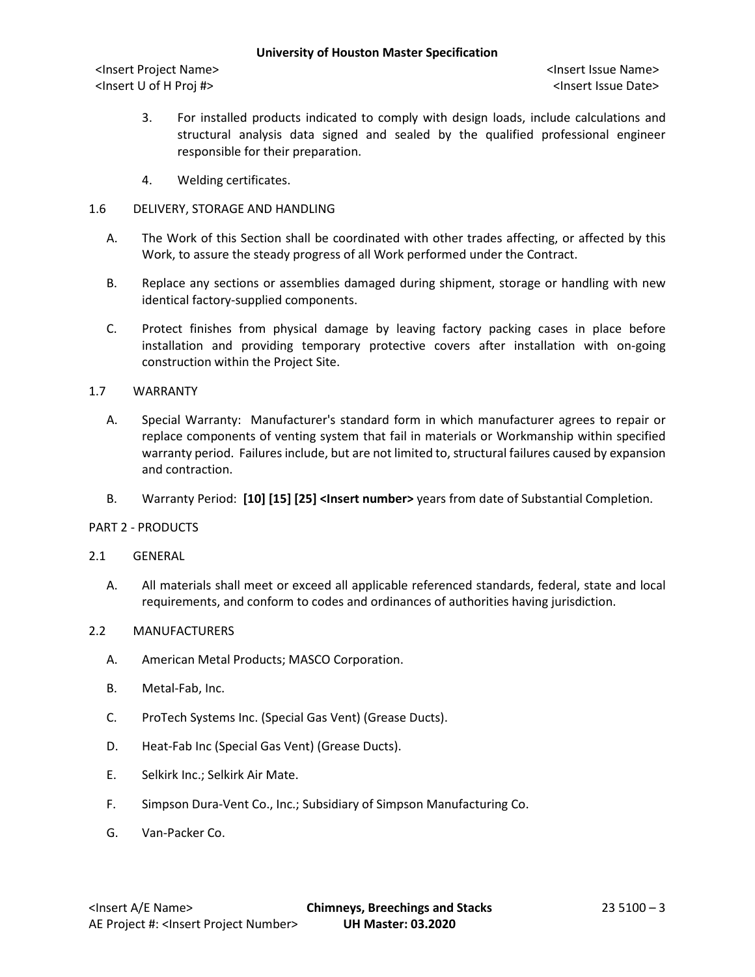<Insert Project Name> <Insert Issue Name> <Insert U of H Proj #> <Insert Issue Date>

- 3. For installed products indicated to comply with design loads, include calculations and structural analysis data signed and sealed by the qualified professional engineer responsible for their preparation.
- 4. Welding certificates.

# 1.6 DELIVERY, STORAGE AND HANDLING

- A. The Work of this Section shall be coordinated with other trades affecting, or affected by this Work, to assure the steady progress of all Work performed under the Contract.
- B. Replace any sections or assemblies damaged during shipment, storage or handling with new identical factory-supplied components.
- C. Protect finishes from physical damage by leaving factory packing cases in place before installation and providing temporary protective covers after installation with on-going construction within the Project Site.

# 1.7 WARRANTY

- A. Special Warranty: Manufacturer's standard form in which manufacturer agrees to repair or replace components of venting system that fail in materials or Workmanship within specified warranty period. Failures include, but are not limited to, structural failures caused by expansion and contraction.
- B. Warranty Period: [10] [15] [25] <Insert number> years from date of Substantial Completion.

# PART 2 - PRODUCTS

# 2.1 GENERAL

A. All materials shall meet or exceed all applicable referenced standards, federal, state and local requirements, and conform to codes and ordinances of authorities having jurisdiction.

# 2.2 MANUFACTURERS

- A. American Metal Products; MASCO Corporation.
- B. Metal-Fab, Inc.
- C. ProTech Systems Inc. (Special Gas Vent) (Grease Ducts).
- D. Heat-Fab Inc (Special Gas Vent) (Grease Ducts).
- E. Selkirk Inc.; Selkirk Air Mate.
- F. Simpson Dura-Vent Co., Inc.; Subsidiary of Simpson Manufacturing Co.
- G. Van-Packer Co.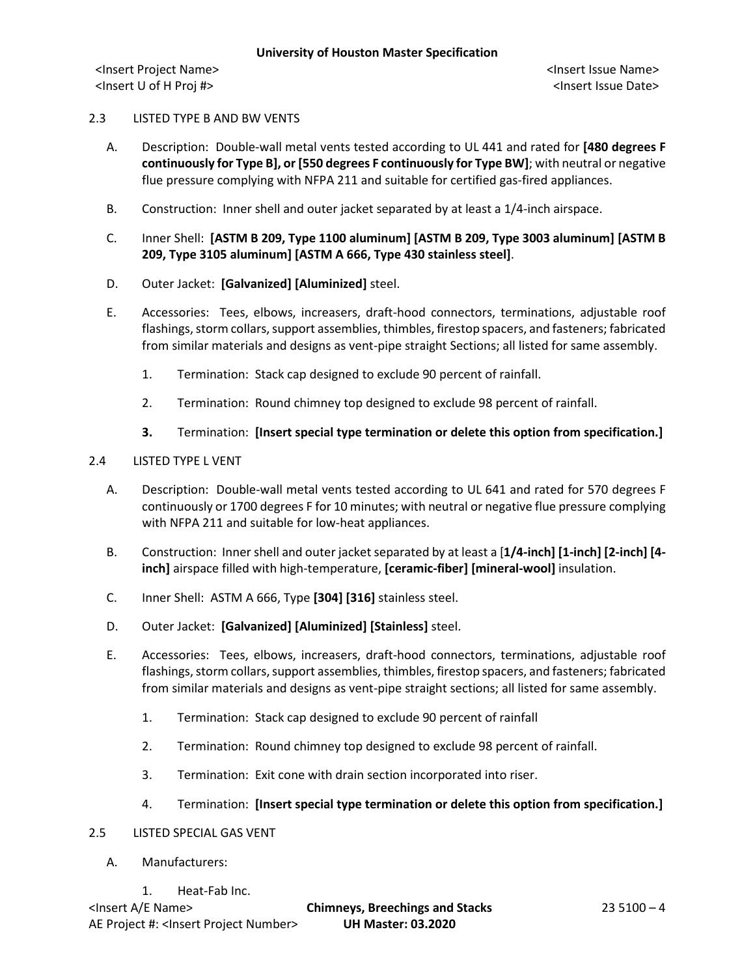# 2.3 LISTED TYPE B AND BW VENTS

- A. Description: Double-wall metal vents tested according to UL 441 and rated for **[480 degrees F continuously for Type B], or [550 degrees F continuously for Type BW]**; with neutral or negative flue pressure complying with NFPA 211 and suitable for certified gas-fired appliances.
- B. Construction: Inner shell and outer jacket separated by at least a 1/4-inch airspace.
- C. Inner Shell: **[ASTM B 209, Type 1100 aluminum] [ASTM B 209, Type 3003 aluminum] [ASTM B 209, Type 3105 aluminum] [ASTM A 666, Type 430 stainless steel]**.
- D. Outer Jacket: **[Galvanized] [Aluminized]** steel.
- E. Accessories: Tees, elbows, increasers, draft-hood connectors, terminations, adjustable roof flashings, storm collars, support assemblies, thimbles, firestop spacers, and fasteners; fabricated from similar materials and designs as vent-pipe straight Sections; all listed for same assembly.
	- 1. Termination: Stack cap designed to exclude 90 percent of rainfall.
	- 2. Termination: Round chimney top designed to exclude 98 percent of rainfall.
	- **3.** Termination: **[Insert special type termination or delete this option from specification.]**

# 2.4 LISTED TYPE L VENT

- A. Description: Double-wall metal vents tested according to UL 641 and rated for 570 degrees F continuously or 1700 degrees F for 10 minutes; with neutral or negative flue pressure complying with NFPA 211 and suitable for low-heat appliances.
- B. Construction: Inner shell and outer jacket separated by at least a [**1/4-inch] [1-inch] [2-inch] [4 inch]** airspace filled with high-temperature, **[ceramic-fiber] [mineral-wool]** insulation.
- C. Inner Shell: ASTM A 666, Type **[304] [316]** stainless steel.
- D. Outer Jacket: **[Galvanized] [Aluminized] [Stainless]** steel.
- E. Accessories: Tees, elbows, increasers, draft-hood connectors, terminations, adjustable roof flashings, storm collars, support assemblies, thimbles, firestop spacers, and fasteners; fabricated from similar materials and designs as vent-pipe straight sections; all listed for same assembly.
	- 1. Termination: Stack cap designed to exclude 90 percent of rainfall
	- 2. Termination: Round chimney top designed to exclude 98 percent of rainfall.
	- 3. Termination: Exit cone with drain section incorporated into riser.
	- 4. Termination: **[Insert special type termination or delete this option from specification.]**
- 2.5 LISTED SPECIAL GAS VENT
	- A. Manufacturers:
		- 1. Heat-Fab Inc.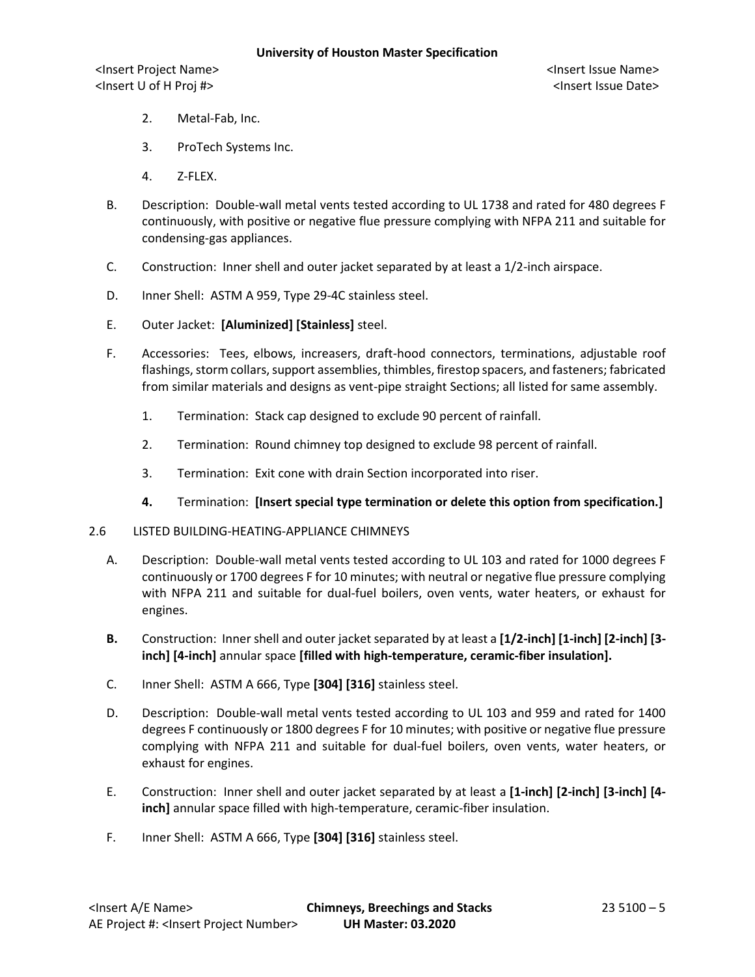<Insert Project Name> <Insert Issue Name> <Insert U of H Proj #> <Insert Issue Date>

- 2. Metal-Fab, Inc.
- 3. ProTech Systems Inc.
- 4. Z-FLEX.
- B. Description: Double-wall metal vents tested according to UL 1738 and rated for 480 degrees F continuously, with positive or negative flue pressure complying with NFPA 211 and suitable for condensing-gas appliances.
- C. Construction: Inner shell and outer jacket separated by at least a 1/2-inch airspace.
- D. Inner Shell: ASTM A 959, Type 29-4C stainless steel.
- E. Outer Jacket: **[Aluminized] [Stainless]** steel.
- F. Accessories: Tees, elbows, increasers, draft-hood connectors, terminations, adjustable roof flashings, storm collars, support assemblies, thimbles, firestop spacers, and fasteners; fabricated from similar materials and designs as vent-pipe straight Sections; all listed for same assembly.
	- 1. Termination: Stack cap designed to exclude 90 percent of rainfall.
	- 2. Termination: Round chimney top designed to exclude 98 percent of rainfall.
	- 3. Termination: Exit cone with drain Section incorporated into riser.
	- **4.** Termination: **[Insert special type termination or delete this option from specification.]**
- 2.6 LISTED BUILDING-HEATING-APPLIANCE CHIMNEYS
	- A. Description: Double-wall metal vents tested according to UL 103 and rated for 1000 degrees F continuously or 1700 degrees F for 10 minutes; with neutral or negative flue pressure complying with NFPA 211 and suitable for dual-fuel boilers, oven vents, water heaters, or exhaust for engines.
	- **B.** Construction: Inner shell and outer jacket separated by at least a **[1/2-inch] [1-inch] [2-inch] [3 inch] [4-inch]** annular space **[filled with high-temperature, ceramic-fiber insulation].**
	- C. Inner Shell: ASTM A 666, Type **[304] [316]** stainless steel.
	- D. Description: Double-wall metal vents tested according to UL 103 and 959 and rated for 1400 degrees F continuously or 1800 degrees F for 10 minutes; with positive or negative flue pressure complying with NFPA 211 and suitable for dual-fuel boilers, oven vents, water heaters, or exhaust for engines.
	- E. Construction: Inner shell and outer jacket separated by at least a **[1-inch] [2-inch] [3-inch] [4 inch]** annular space filled with high-temperature, ceramic-fiber insulation.
	- F. Inner Shell: ASTM A 666, Type **[304] [316]** stainless steel.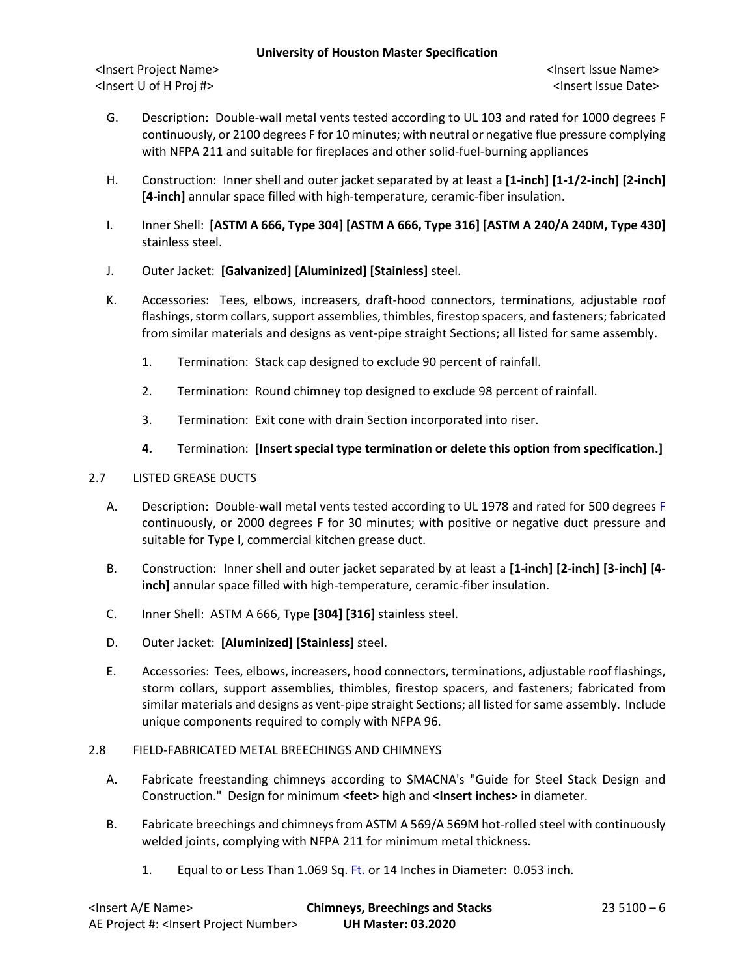<Insert Project Name> <Insert Issue Name> <Insert U of H Proj #> <Insert Issue Date>

- G. Description: Double-wall metal vents tested according to UL 103 and rated for 1000 degrees F continuously, or 2100 degrees F for 10 minutes; with neutral or negative flue pressure complying with NFPA 211 and suitable for fireplaces and other solid-fuel-burning appliances
- H. Construction: Inner shell and outer jacket separated by at least a **[1-inch] [1-1/2-inch] [2-inch] [4-inch]** annular space filled with high-temperature, ceramic-fiber insulation.
- I. Inner Shell: **[ASTM A 666, Type 304] [ASTM A 666, Type 316] [ASTM A 240/A 240M, Type 430]**  stainless steel.
- J. Outer Jacket: **[Galvanized] [Aluminized] [Stainless]** steel.
- K. Accessories: Tees, elbows, increasers, draft-hood connectors, terminations, adjustable roof flashings, storm collars, support assemblies, thimbles, firestop spacers, and fasteners; fabricated from similar materials and designs as vent-pipe straight Sections; all listed for same assembly.
	- 1. Termination: Stack cap designed to exclude 90 percent of rainfall.
	- 2. Termination: Round chimney top designed to exclude 98 percent of rainfall.
	- 3. Termination: Exit cone with drain Section incorporated into riser.
	- **4.** Termination: **[Insert special type termination or delete this option from specification.]**

# 2.7 LISTED GREASE DUCTS

- A. Description: Double-wall metal vents tested according to UL 1978 and rated for 500 degrees F continuously, or 2000 degrees F for 30 minutes; with positive or negative duct pressure and suitable for Type I, commercial kitchen grease duct.
- B. Construction: Inner shell and outer jacket separated by at least a **[1-inch] [2-inch] [3-inch] [4 inch]** annular space filled with high-temperature, ceramic-fiber insulation.
- C. Inner Shell: ASTM A 666, Type **[304] [316]** stainless steel.
- D. Outer Jacket: **[Aluminized] [Stainless]** steel.
- E. Accessories: Tees, elbows, increasers, hood connectors, terminations, adjustable roof flashings, storm collars, support assemblies, thimbles, firestop spacers, and fasteners; fabricated from similar materials and designs as vent-pipe straight Sections; all listed for same assembly. Include unique components required to comply with NFPA 96.

# 2.8 FIELD-FABRICATED METAL BREECHINGS AND CHIMNEYS

- A. Fabricate freestanding chimneys according to SMACNA's "Guide for Steel Stack Design and Construction." Design for minimum **<feet>** high and **<Insert inches>** in diameter.
- B. Fabricate breechings and chimneys from ASTM A 569/A 569M hot-rolled steel with continuously welded joints, complying with NFPA 211 for minimum metal thickness.
	- 1. Equal to or Less Than 1.069 Sq. Ft. or 14 Inches in Diameter: 0.053 inch.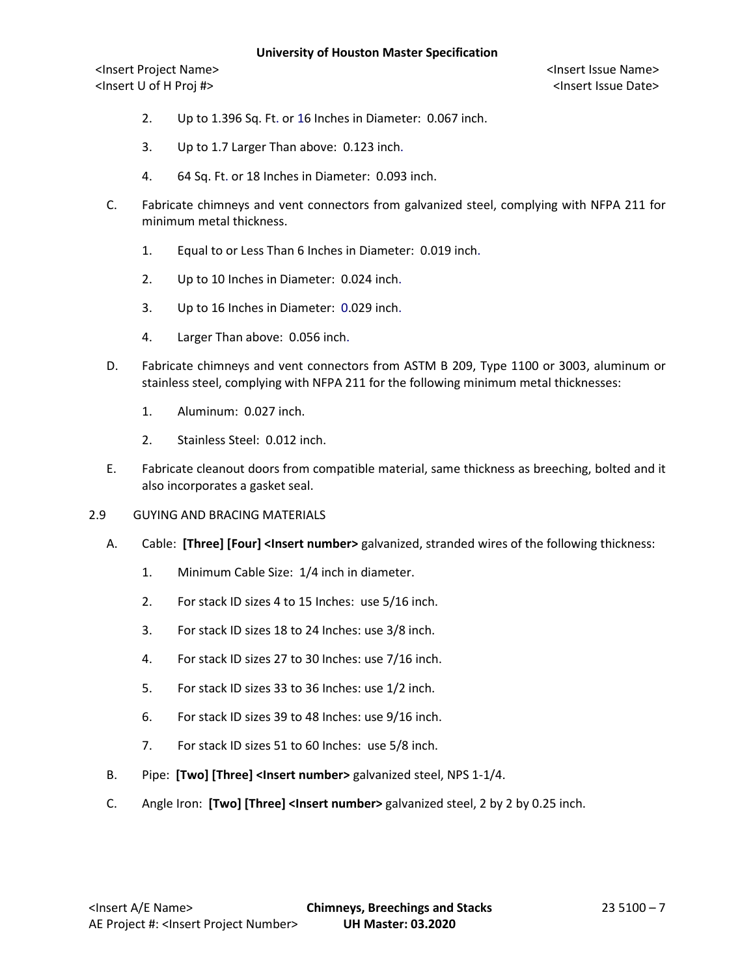<Insert Project Name> <Insert Issue Name> <Insert U of H Proj #> <Insert Issue Date>

- 2. Up to 1.396 Sq. Ft. or 16 Inches in Diameter: 0.067 inch.
- 3. Up to 1.7 Larger Than above: 0.123 inch.
- 4. 64 Sq. Ft. or 18 Inches in Diameter: 0.093 inch.
- C. Fabricate chimneys and vent connectors from galvanized steel, complying with NFPA 211 for minimum metal thickness.
	- 1. Equal to or Less Than 6 Inches in Diameter: 0.019 inch.
	- 2. Up to 10 Inches in Diameter: 0.024 inch.
	- 3. Up to 16 Inches in Diameter: 0.029 inch.
	- 4. Larger Than above: 0.056 inch.
- D. Fabricate chimneys and vent connectors from ASTM B 209, Type 1100 or 3003, aluminum or stainless steel, complying with NFPA 211 for the following minimum metal thicknesses:
	- 1. Aluminum: 0.027 inch.
	- 2. Stainless Steel: 0.012 inch.
- E. Fabricate cleanout doors from compatible material, same thickness as breeching, bolted and it also incorporates a gasket seal.
- 2.9 GUYING AND BRACING MATERIALS
	- A. Cable: **[Three] [Four] <Insert number>** galvanized, stranded wires of the following thickness:
		- 1. Minimum Cable Size: 1/4 inch in diameter.
		- 2. For stack ID sizes 4 to 15 Inches: use 5/16 inch.
		- 3. For stack ID sizes 18 to 24 Inches: use 3/8 inch.
		- 4. For stack ID sizes 27 to 30 Inches: use 7/16 inch.
		- 5. For stack ID sizes 33 to 36 Inches: use 1/2 inch.
		- 6. For stack ID sizes 39 to 48 Inches: use 9/16 inch.
		- 7. For stack ID sizes 51 to 60 Inches: use 5/8 inch.
	- B. Pipe: **[Two] [Three] <Insert number>** galvanized steel, NPS 1-1/4.
	- C. Angle Iron: **[Two] [Three] <Insert number>** galvanized steel, 2 by 2 by 0.25 inch.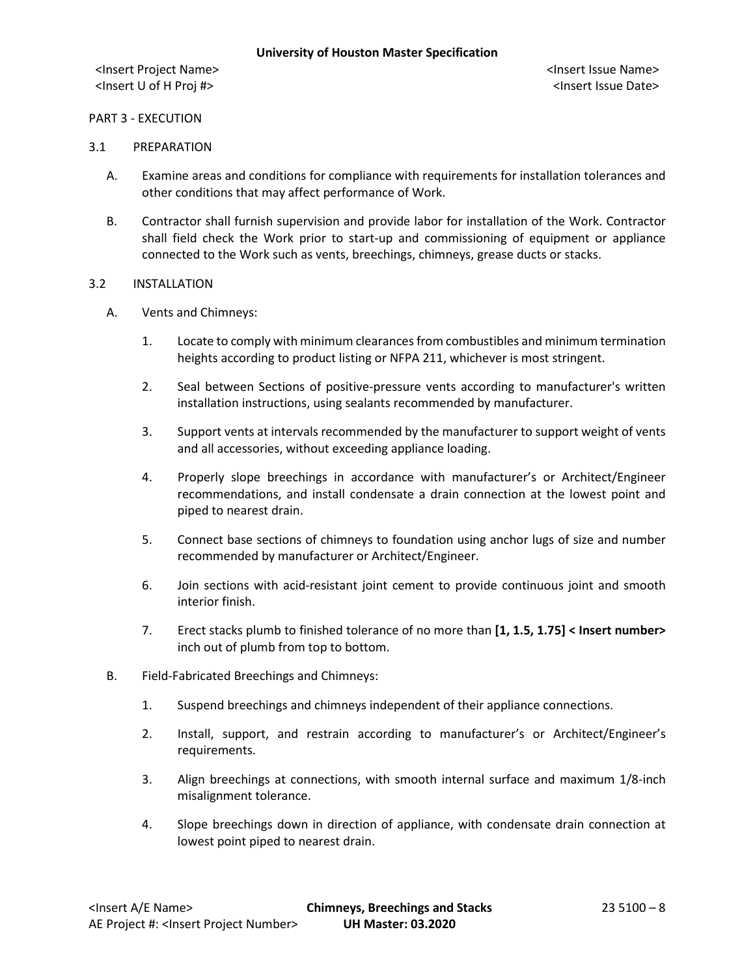# PART 3 - EXECUTION

#### 3.1 PREPARATION

- A. Examine areas and conditions for compliance with requirements for installation tolerances and other conditions that may affect performance of Work.
- B. Contractor shall furnish supervision and provide labor for installation of the Work. Contractor shall field check the Work prior to start-up and commissioning of equipment or appliance connected to the Work such as vents, breechings, chimneys, grease ducts or stacks.

#### 3.2 INSTALLATION

- A. Vents and Chimneys:
	- 1. Locate to comply with minimum clearances from combustibles and minimum termination heights according to product listing or NFPA 211, whichever is most stringent.
	- 2. Seal between Sections of positive-pressure vents according to manufacturer's written installation instructions, using sealants recommended by manufacturer.
	- 3. Support vents at intervals recommended by the manufacturer to support weight of vents and all accessories, without exceeding appliance loading.
	- 4. Properly slope breechings in accordance with manufacturer's or Architect/Engineer recommendations, and install condensate a drain connection at the lowest point and piped to nearest drain.
	- 5. Connect base sections of chimneys to foundation using anchor lugs of size and number recommended by manufacturer or Architect/Engineer.
	- 6. Join sections with acid-resistant joint cement to provide continuous joint and smooth interior finish.
	- 7. Erect stacks plumb to finished tolerance of no more than **[1, 1.5, 1.75] < Insert number>** inch out of plumb from top to bottom.
- B. Field-Fabricated Breechings and Chimneys:
	- 1. Suspend breechings and chimneys independent of their appliance connections.
	- 2. Install, support, and restrain according to manufacturer's or Architect/Engineer's requirements.
	- 3. Align breechings at connections, with smooth internal surface and maximum 1/8-inch misalignment tolerance.
	- 4. Slope breechings down in direction of appliance, with condensate drain connection at lowest point piped to nearest drain.